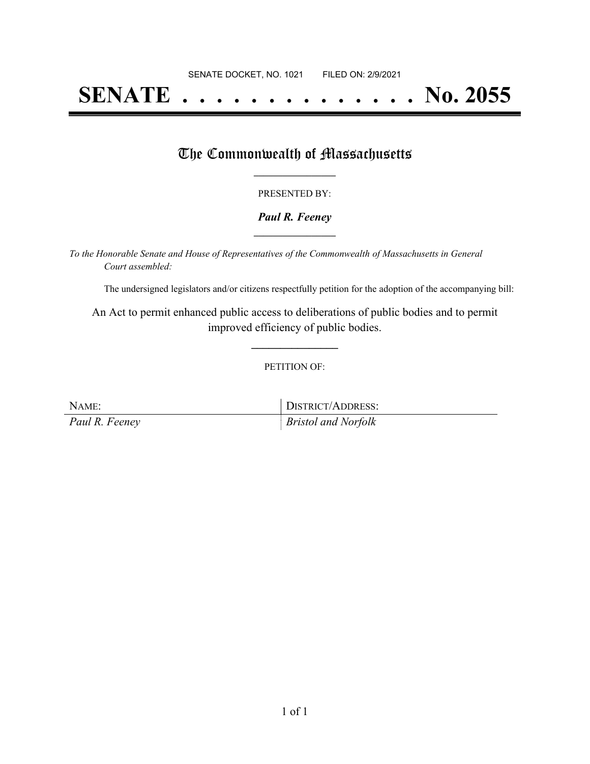# **SENATE . . . . . . . . . . . . . . No. 2055**

## The Commonwealth of Massachusetts

### PRESENTED BY:

### *Paul R. Feeney* **\_\_\_\_\_\_\_\_\_\_\_\_\_\_\_\_\_**

*To the Honorable Senate and House of Representatives of the Commonwealth of Massachusetts in General Court assembled:*

The undersigned legislators and/or citizens respectfully petition for the adoption of the accompanying bill:

An Act to permit enhanced public access to deliberations of public bodies and to permit improved efficiency of public bodies.

**\_\_\_\_\_\_\_\_\_\_\_\_\_\_\_**

#### PETITION OF:

| NAME:          | DISTRICT/ADDRESS:          |
|----------------|----------------------------|
| Paul R. Feeney | <i>Bristol and Norfolk</i> |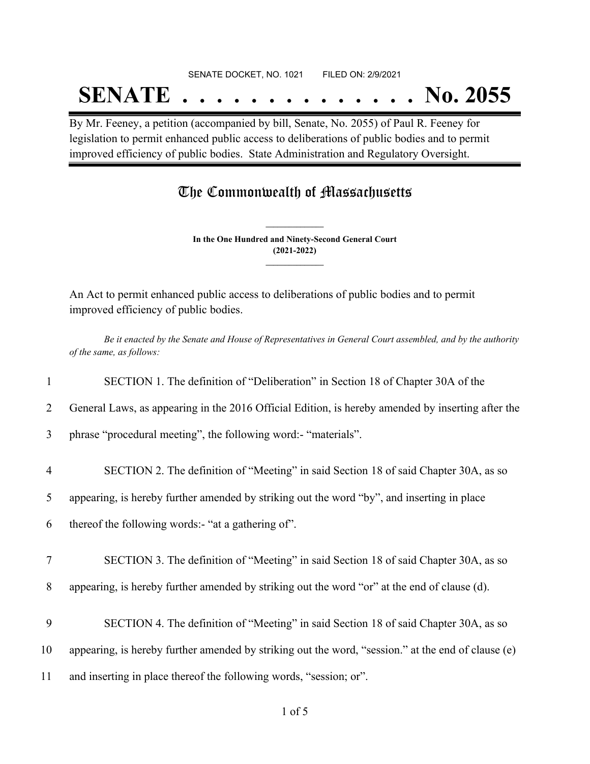#### SENATE DOCKET, NO. 1021 FILED ON: 2/9/2021

## **SENATE . . . . . . . . . . . . . . No. 2055**

By Mr. Feeney, a petition (accompanied by bill, Senate, No. 2055) of Paul R. Feeney for legislation to permit enhanced public access to deliberations of public bodies and to permit improved efficiency of public bodies. State Administration and Regulatory Oversight.

### The Commonwealth of Massachusetts

**In the One Hundred and Ninety-Second General Court (2021-2022) \_\_\_\_\_\_\_\_\_\_\_\_\_\_\_**

**\_\_\_\_\_\_\_\_\_\_\_\_\_\_\_**

An Act to permit enhanced public access to deliberations of public bodies and to permit improved efficiency of public bodies.

Be it enacted by the Senate and House of Representatives in General Court assembled, and by the authority *of the same, as follows:*

|                | SECTION 1. The definition of "Deliberation" in Section 18 of Chapter 30A of the                    |
|----------------|----------------------------------------------------------------------------------------------------|
| 2              | General Laws, as appearing in the 2016 Official Edition, is hereby amended by inserting after the  |
| 3              | phrase "procedural meeting", the following word:- "materials".                                     |
| $\overline{4}$ | SECTION 2. The definition of "Meeting" in said Section 18 of said Chapter 30A, as so               |
| 5              | appearing, is hereby further amended by striking out the word "by", and inserting in place         |
| 6              | thereof the following words:- "at a gathering of".                                                 |
| $\tau$         | SECTION 3. The definition of "Meeting" in said Section 18 of said Chapter 30A, as so               |
| 8              | appearing, is hereby further amended by striking out the word "or" at the end of clause (d).       |
| 9              | SECTION 4. The definition of "Meeting" in said Section 18 of said Chapter 30A, as so               |
| 10             | appearing, is hereby further amended by striking out the word, "session." at the end of clause (e) |
| 11             | and inserting in place thereof the following words, "session; or".                                 |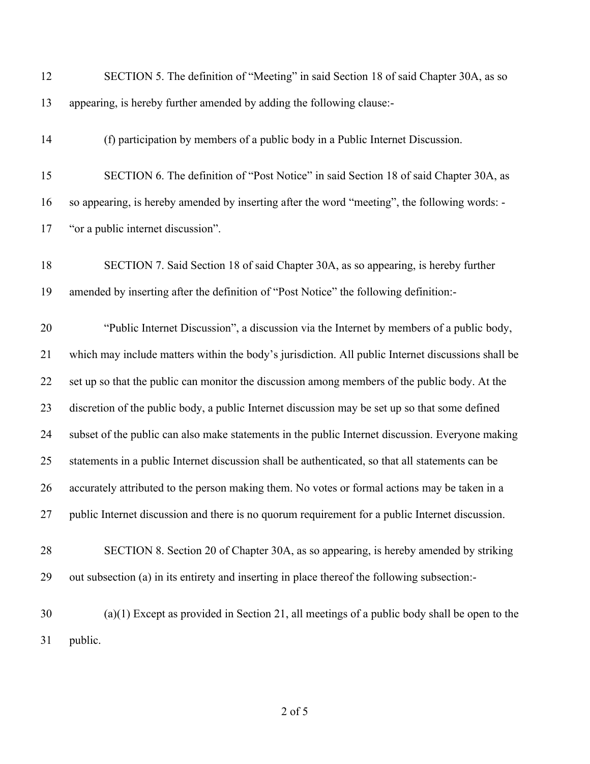| 12 | SECTION 5. The definition of "Meeting" in said Section 18 of said Chapter 30A, as so               |
|----|----------------------------------------------------------------------------------------------------|
| 13 | appearing, is hereby further amended by adding the following clause:-                              |
| 14 | (f) participation by members of a public body in a Public Internet Discussion.                     |
| 15 | SECTION 6. The definition of "Post Notice" in said Section 18 of said Chapter 30A, as              |
| 16 | so appearing, is hereby amended by inserting after the word "meeting", the following words: -      |
| 17 | "or a public internet discussion".                                                                 |
| 18 | SECTION 7. Said Section 18 of said Chapter 30A, as so appearing, is hereby further                 |
| 19 | amended by inserting after the definition of "Post Notice" the following definition:-              |
| 20 | "Public Internet Discussion", a discussion via the Internet by members of a public body,           |
| 21 | which may include matters within the body's jurisdiction. All public Internet discussions shall be |
| 22 | set up so that the public can monitor the discussion among members of the public body. At the      |
| 23 | discretion of the public body, a public Internet discussion may be set up so that some defined     |
| 24 | subset of the public can also make statements in the public Internet discussion. Everyone making   |
| 25 | statements in a public Internet discussion shall be authenticated, so that all statements can be   |
| 26 | accurately attributed to the person making them. No votes or formal actions may be taken in a      |
| 27 | public Internet discussion and there is no quorum requirement for a public Internet discussion.    |
| 28 | SECTION 8. Section 20 of Chapter 30A, as so appearing, is hereby amended by striking               |
| 29 | out subsection (a) in its entirety and inserting in place thereof the following subsection:-       |
| 30 | $(a)(1)$ Except as provided in Section 21, all meetings of a public body shall be open to the      |
| 31 | public.                                                                                            |
|    |                                                                                                    |

of 5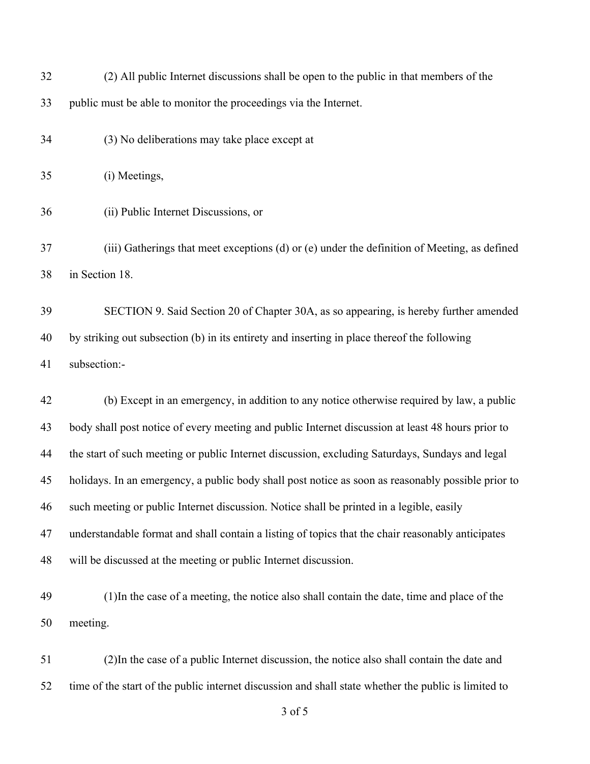| 32 | (2) All public Internet discussions shall be open to the public in that members of the               |
|----|------------------------------------------------------------------------------------------------------|
| 33 | public must be able to monitor the proceedings via the Internet.                                     |
| 34 | (3) No deliberations may take place except at                                                        |
| 35 | (i) Meetings,                                                                                        |
| 36 | (ii) Public Internet Discussions, or                                                                 |
| 37 | (iii) Gatherings that meet exceptions (d) or (e) under the definition of Meeting, as defined         |
| 38 | in Section 18.                                                                                       |
| 39 | SECTION 9. Said Section 20 of Chapter 30A, as so appearing, is hereby further amended                |
| 40 | by striking out subsection (b) in its entirety and inserting in place thereof the following          |
| 41 | subsection:-                                                                                         |
| 42 | (b) Except in an emergency, in addition to any notice otherwise required by law, a public            |
| 43 | body shall post notice of every meeting and public Internet discussion at least 48 hours prior to    |
| 44 | the start of such meeting or public Internet discussion, excluding Saturdays, Sundays and legal      |
| 45 | holidays. In an emergency, a public body shall post notice as soon as reasonably possible prior to   |
| 46 | such meeting or public Internet discussion. Notice shall be printed in a legible, easily             |
| 47 | understandable format and shall contain a listing of topics that the chair reasonably anticipates    |
| 48 | will be discussed at the meeting or public Internet discussion.                                      |
| 49 | (1) In the case of a meeting, the notice also shall contain the date, time and place of the          |
| 50 | meeting.                                                                                             |
| 51 | (2) In the case of a public Internet discussion, the notice also shall contain the date and          |
| 52 | time of the start of the public internet discussion and shall state whether the public is limited to |
|    | 3 of 5                                                                                               |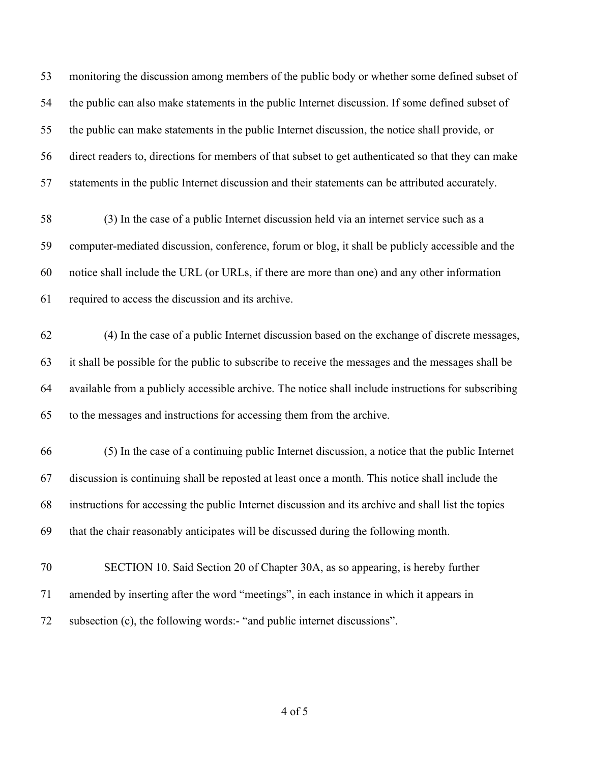monitoring the discussion among members of the public body or whether some defined subset of the public can also make statements in the public Internet discussion. If some defined subset of the public can make statements in the public Internet discussion, the notice shall provide, or direct readers to, directions for members of that subset to get authenticated so that they can make statements in the public Internet discussion and their statements can be attributed accurately.

 (3) In the case of a public Internet discussion held via an internet service such as a computer-mediated discussion, conference, forum or blog, it shall be publicly accessible and the notice shall include the URL (or URLs, if there are more than one) and any other information required to access the discussion and its archive.

 (4) In the case of a public Internet discussion based on the exchange of discrete messages, it shall be possible for the public to subscribe to receive the messages and the messages shall be available from a publicly accessible archive. The notice shall include instructions for subscribing to the messages and instructions for accessing them from the archive.

- (5) In the case of a continuing public Internet discussion, a notice that the public Internet discussion is continuing shall be reposted at least once a month. This notice shall include the instructions for accessing the public Internet discussion and its archive and shall list the topics that the chair reasonably anticipates will be discussed during the following month.
- SECTION 10. Said Section 20 of Chapter 30A, as so appearing, is hereby further amended by inserting after the word "meetings", in each instance in which it appears in subsection (c), the following words:- "and public internet discussions".